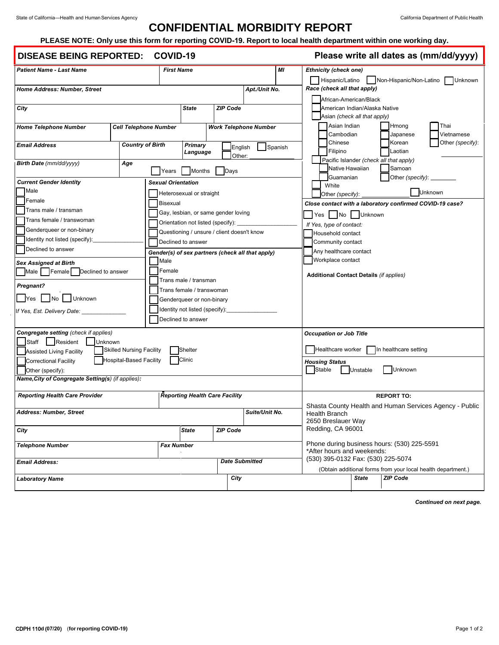## **CONFIDENTIAL MORBIDITY REPORT**

## **PLEASE NOTE: Only use this form for reporting COVID-19. Report to local health department within one working day.**

## **DISEASE BEING REPORTED: COVID-19**

**Please write all dates as (mm/dd/yyyy)**

|                                                                                  |                         |                           |                          |                                                      |                                                  |  |                                                                                       |                                         |                                                                                                    |                               |                                                    |            | ,,,,,            |  |
|----------------------------------------------------------------------------------|-------------------------|---------------------------|--------------------------|------------------------------------------------------|--------------------------------------------------|--|---------------------------------------------------------------------------------------|-----------------------------------------|----------------------------------------------------------------------------------------------------|-------------------------------|----------------------------------------------------|------------|------------------|--|
| <b>Patient Name - Last Name</b>                                                  |                         |                           | MI<br><b>First Name</b>  |                                                      |                                                  |  | <b>Ethnicity (check one)</b><br>Hispanic/Latino<br>Non-Hispanic/Non-Latino<br>Unknown |                                         |                                                                                                    |                               |                                                    |            |                  |  |
| Home Address: Number, Street                                                     |                         |                           |                          |                                                      | Apt./Unit No.                                    |  |                                                                                       |                                         |                                                                                                    | Race (check all that apply)   |                                                    |            |                  |  |
|                                                                                  |                         |                           |                          |                                                      |                                                  |  |                                                                                       |                                         |                                                                                                    | African-American/Black        |                                                    |            |                  |  |
| City                                                                             |                         |                           | <b>State</b>             | <b>ZIP Code</b>                                      |                                                  |  |                                                                                       |                                         |                                                                                                    | American Indian/Alaska Native |                                                    |            |                  |  |
|                                                                                  |                         |                           |                          |                                                      |                                                  |  |                                                                                       |                                         |                                                                                                    | Asian (check all that apply)  |                                                    |            |                  |  |
| <b>Home Telephone Number</b><br><b>Cell Telephone Number</b>                     |                         |                           |                          | <b>Work Telephone Number</b>                         |                                                  |  |                                                                                       |                                         | Asian Indian                                                                                       |                               | Hmong                                              | Thai       |                  |  |
|                                                                                  |                         |                           |                          |                                                      |                                                  |  |                                                                                       |                                         | Cambodian                                                                                          |                               | Japanese                                           | Vietnamese |                  |  |
| <b>Email Address</b>                                                             | <b>Country of Birth</b> |                           |                          | <b>Primary</b><br>English<br>Spanish                 |                                                  |  |                                                                                       |                                         | Chinese                                                                                            |                               | Korean                                             |            | Other (specify): |  |
|                                                                                  |                         |                           | Language                 | Other:                                               |                                                  |  |                                                                                       |                                         | Filipino                                                                                           |                               | Laotian<br>Pacific Islander (check all that apply) |            |                  |  |
| Birth Date (mm/dd/yyyy)                                                          | Age                     |                           |                          |                                                      |                                                  |  |                                                                                       |                                         | Native Hawaiian                                                                                    |                               | Samoan                                             |            |                  |  |
|                                                                                  |                         | Years                     | <b>Months</b>            | Days                                                 |                                                  |  |                                                                                       |                                         | Guamanian                                                                                          |                               | Other (specify): ______                            |            |                  |  |
| <b>Current Gender Identity</b>                                                   |                         | <b>Sexual Orientation</b> |                          |                                                      |                                                  |  |                                                                                       |                                         | White                                                                                              |                               |                                                    |            |                  |  |
| Male<br>Female                                                                   |                         |                           | Heterosexual or straight |                                                      |                                                  |  |                                                                                       |                                         | Other (specify):                                                                                   |                               |                                                    | Jnknown    |                  |  |
| Trans male / transman                                                            |                         | <b>Bisexual</b>           |                          |                                                      |                                                  |  | Close contact with a laboratory confirmed COVID-19 case?                              |                                         |                                                                                                    |                               |                                                    |            |                  |  |
| Trans female / transwoman                                                        |                         |                           |                          | Gay, lesbian, or same gender loving                  |                                                  |  | Yes   No   Unknown                                                                    |                                         |                                                                                                    |                               |                                                    |            |                  |  |
| Genderqueer or non-binary                                                        |                         |                           |                          | Orientation not listed (specify): _                  |                                                  |  | If Yes, type of contact:                                                              |                                         |                                                                                                    |                               |                                                    |            |                  |  |
| Identity not listed (specify):                                                   |                         |                           |                          | Questioning / unsure / client doesn't know           |                                                  |  | Household contact                                                                     |                                         |                                                                                                    |                               |                                                    |            |                  |  |
| Declined to answer                                                               |                         |                           | Declined to answer       |                                                      |                                                  |  |                                                                                       |                                         | Community contact                                                                                  |                               |                                                    |            |                  |  |
|                                                                                  |                         |                           |                          |                                                      | Gender(s) of sex partners (check all that apply) |  |                                                                                       |                                         | Any healthcare contact<br>Workplace contact                                                        |                               |                                                    |            |                  |  |
| <b>Sex Assigned at Birth</b>                                                     |                         | Male<br>Female            |                          |                                                      |                                                  |  |                                                                                       |                                         |                                                                                                    |                               |                                                    |            |                  |  |
| Male   Female   Declined to answer                                               |                         |                           |                          |                                                      |                                                  |  | <b>Additional Contact Details (if applies)</b>                                        |                                         |                                                                                                    |                               |                                                    |            |                  |  |
| <b>Pregnant?</b>                                                                 |                         |                           | Trans male / transman    |                                                      |                                                  |  |                                                                                       |                                         |                                                                                                    |                               |                                                    |            |                  |  |
| Trans female / transwoman<br>No Unknown<br> Yes<br>Genderqueer or non-binary     |                         |                           |                          |                                                      |                                                  |  |                                                                                       |                                         |                                                                                                    |                               |                                                    |            |                  |  |
|                                                                                  |                         |                           |                          |                                                      |                                                  |  |                                                                                       |                                         |                                                                                                    |                               |                                                    |            |                  |  |
| If Yes, Est. Delivery Date: ___                                                  |                         |                           |                          | Identity not listed (specify):<br>Declined to answer |                                                  |  |                                                                                       |                                         |                                                                                                    |                               |                                                    |            |                  |  |
|                                                                                  |                         |                           |                          |                                                      |                                                  |  |                                                                                       |                                         |                                                                                                    |                               |                                                    |            |                  |  |
| Congregate setting (check if applies)                                            |                         |                           |                          |                                                      |                                                  |  |                                                                                       | <b>Occupation or Job Title</b>          |                                                                                                    |                               |                                                    |            |                  |  |
| Staff   Resident<br><b>Unknown</b><br><b>Skilled Nursing Facility</b><br>Shelter |                         |                           |                          |                                                      |                                                  |  | Healthcare worker In healthcare setting                                               |                                         |                                                                                                    |                               |                                                    |            |                  |  |
| Assisted Living Facility                                                         |                         |                           |                          |                                                      |                                                  |  |                                                                                       |                                         |                                                                                                    |                               |                                                    |            |                  |  |
| <b>Hospital-Based Facility</b><br>Clinic<br>Correctional Facility                |                         |                           |                          |                                                      |                                                  |  | <b>Housing Status</b><br>Unknown<br>Stable<br>Unstable                                |                                         |                                                                                                    |                               |                                                    |            |                  |  |
| Other (specify):<br>Name, City of Congregate Setting(s) (if applies):            |                         |                           |                          |                                                      |                                                  |  |                                                                                       |                                         |                                                                                                    |                               |                                                    |            |                  |  |
|                                                                                  |                         |                           |                          |                                                      |                                                  |  |                                                                                       |                                         |                                                                                                    |                               |                                                    |            |                  |  |
| <b>Reporting Health Care Provider</b>                                            |                         |                           |                          | <b>Reporting Health Care Facility</b>                |                                                  |  |                                                                                       |                                         |                                                                                                    |                               | <b>REPORT TO:</b>                                  |            |                  |  |
|                                                                                  |                         |                           |                          |                                                      |                                                  |  | Shasta County Health and Human Services Agency - Public                               |                                         |                                                                                                    |                               |                                                    |            |                  |  |
| Address: Number, Street<br>Suite/Unit No.                                        |                         |                           |                          |                                                      |                                                  |  | <b>Health Branch</b>                                                                  |                                         |                                                                                                    |                               |                                                    |            |                  |  |
|                                                                                  |                         |                           | <b>State</b>             | <b>ZIP Code</b>                                      |                                                  |  |                                                                                       | 2650 Breslauer Way<br>Redding, CA 96001 |                                                                                                    |                               |                                                    |            |                  |  |
| City                                                                             |                         |                           |                          |                                                      |                                                  |  |                                                                                       |                                         |                                                                                                    |                               |                                                    |            |                  |  |
| <b>Telephone Number</b><br>Fax Number                                            |                         |                           |                          |                                                      |                                                  |  | Phone during business hours: (530) 225-5591<br>*After hours and weekends:             |                                         |                                                                                                    |                               |                                                    |            |                  |  |
|                                                                                  |                         |                           |                          |                                                      |                                                  |  |                                                                                       |                                         |                                                                                                    |                               |                                                    |            |                  |  |
| <b>Email Address:</b>                                                            |                         |                           |                          |                                                      | <b>Date Submitted</b>                            |  |                                                                                       |                                         | (530) 395-0132 Fax: (530) 225-5074<br>(Obtain additional forms from your local health department.) |                               |                                                    |            |                  |  |
| <b>Laboratory Name</b>                                                           |                         |                           |                          | City                                                 |                                                  |  |                                                                                       |                                         |                                                                                                    | <b>State</b>                  | <b>ZIP Code</b>                                    |            |                  |  |
|                                                                                  |                         |                           |                          |                                                      |                                                  |  |                                                                                       |                                         |                                                                                                    |                               |                                                    |            |                  |  |

*Continued on next page.*